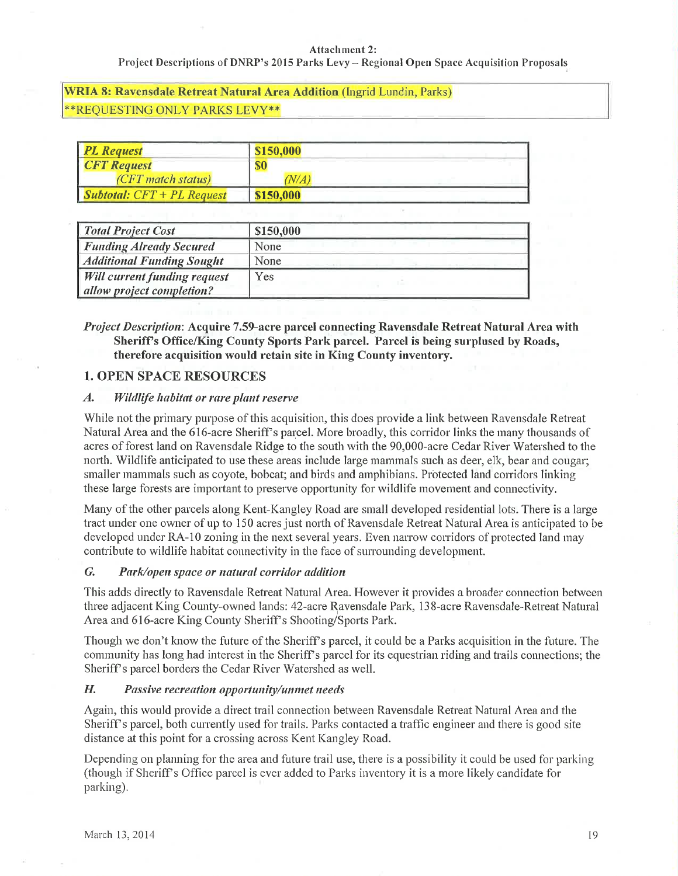### **Attachment 2:**

Project Descriptions of DNRP's 2015 Parks Levy - Regional Open Space Acquisition Proposals

**WRIA 8: Ravensdale Retreat Natural Area Addition (Ingrid Lundin, Parks)** \*\*REQUESTING ONLY PARKS LEVY\*\*

| <b>PL Request</b>                           | \$150,000 |
|---------------------------------------------|-----------|
| <b>CFT</b> Request                          | \$0       |
| (CFT match status)                          | $N\!/\!A$ |
| $\blacksquare$ Subtotal: $CFT + PL$ Request | \$150,000 |

| <b>Total Project Cost</b>                                        | \$150,000 |
|------------------------------------------------------------------|-----------|
| <b>Funding Already Secured</b>                                   | None      |
| <b>Additional Funding Sought</b>                                 | None      |
| <b>Will current funding request</b><br>allow project completion? | Yes       |

*Project Description:* Acquire 7.59-acre parcel connecting Ravensdale Retreat Natural Area with Sheriff's Office/King County Sports Park parcel. Parcel is being surplused by Roads, therefore acquisition would retain site in King County inventory.

### **1. OPEN SPACE RESOURCES**

#### $\boldsymbol{A}$ . Wildlife habitat or rare plant reserve

While not the primary purpose of this acquisition, this does provide a link between Ravensdale Retreat Natural Area and the 616-acre Sheriff's parcel. More broadly, this corridor links the many thousands of acres of forest land on Ravensdale Ridge to the south with the 90,000-acre Cedar River Watershed to the north. Wildlife anticipated to use these areas include large mammals such as deer, elk, bear and cougar; smaller mammals such as coyote, bobcat; and birds and amphibians. Protected land corridors linking these large forests are important to preserve opportunity for wildlife movement and connectivity.

Many of the other parcels along Kent-Kangley Road are small developed residential lots. There is a large tract under one owner of up to 150 acres just north of Ravensdale Retreat Natural Area is anticipated to be developed under RA-10 zoning in the next several years. Even narrow corridors of protected land may contribute to wildlife habitat connectivity in the face of surrounding development.

### $G.$ Park/open space or natural corridor addition

This adds directly to Ravensdale Retreat Natural Area. However it provides a broader connection between three adjacent King County-owned lands: 42-acre Ravensdale Park, 138-acre Ravensdale-Retreat Natural Area and 616-acre King County Sheriff's Shooting/Sports Park.

Though we don't know the future of the Sheriff's parcel, it could be a Parks acquisition in the future. The community has long had interest in the Sheriff's parcel for its equestrian riding and trails connections; the Sheriff's parcel borders the Cedar River Watershed as well.

#### H. Passive recreation opportunity/unmet needs

Again, this would provide a direct trail connection between Ravensdale Retreat Natural Area and the Sheriff's parcel, both currently used for trails. Parks contacted a traffic engineer and there is good site distance at this point for a crossing across Kent Kangley Road.

Depending on planning for the area and future trail use, there is a possibility it could be used for parking (though if Sheriff's Office parcel is ever added to Parks inventory it is a more likely candidate for parking).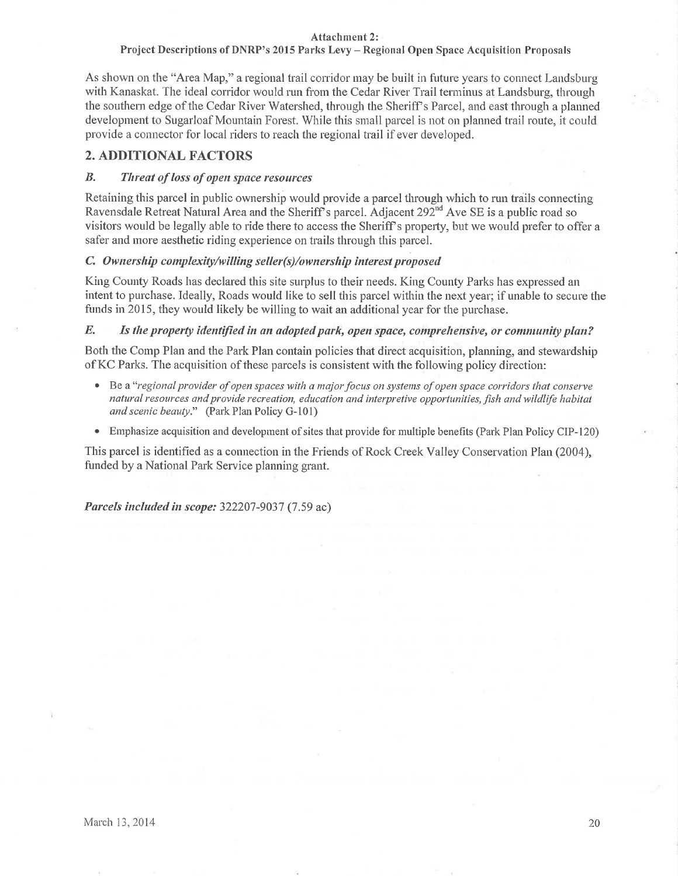### Attachment 2:

## Project Descriptions of DNRP's 2015 Parks Levy - Regional Open Space Acquisition Proposals

As shown on the "Area Map," a regional trail corridor may be built in future years to connect Landsburg with Kanaskat. The ideal corridor would run from the Cedar River Trail terminus at Landsburg, through the southern edge of the Cedar River Watershed, through the Sheriff's Parcel, and east through a planned development to Sugarloaf Mountain Forest. While this small parcel is not on planned trail route, it could provide a connector for local riders to reach the regional trail if ever developed.

# 2. ADDITIONAL FACTORS

#### $B$ . Threat of loss of open space resources

Retaining this parcel in public ownership would provide a parcel through which to run trails connecting Ravensdale Retreat Natural Area and the Sheriff's parcel. Adjacent 292<sup>nd</sup> Ave SE is a public road so visitors would be legally able to ride there to access the Sheriff's property, but we would prefer to offer a safer and more aesthetic riding experience on trails through this parcel.

### C. Ownership complexity/willing seller(s)/ownership interest proposed

King County Roads has declared this site surplus to their needs. King County Parks has expressed an intent to purchase. Ideally, Roads would like to sell this parcel within the next year; if unable to secure the funds in 2015, they would likely be willing to wait an additional year for the purchase.

#### $E_{\bullet}$ Is the property identified in an adopted park, open space, comprehensive, or community plan?

Both the Comp Plan and the Park Plan contain policies that direct acquisition, planning, and stewardship of KC Parks. The acquisition of these parcels is consistent with the following policy direction:

- Be a "regional provider of open spaces with a major focus on systems of open space corridors that conserve natural resources and provide recreation, education and interpretive opportunities, fish and wildlife habitat and scenic beauty." (Park Plan Policy G-101)
- Emphasize acquisition and development of sites that provide for multiple benefits (Park Plan Policy CIP-120)

This parcel is identified as a connection in the Friends of Rock Creek Valley Conservation Plan (2004), funded by a National Park Service planning grant.

Parcels included in scope: 322207-9037 (7.59 ac)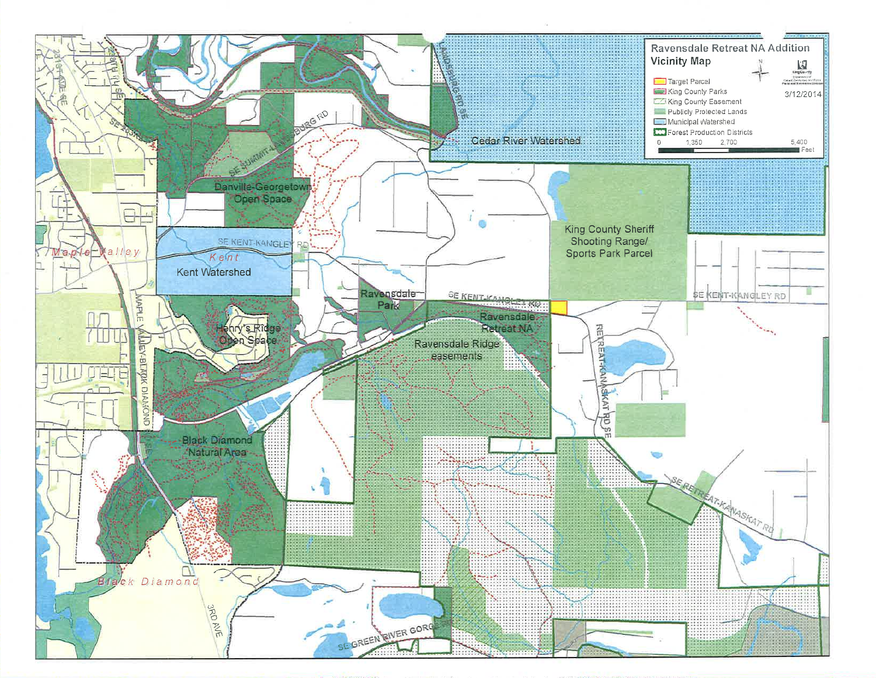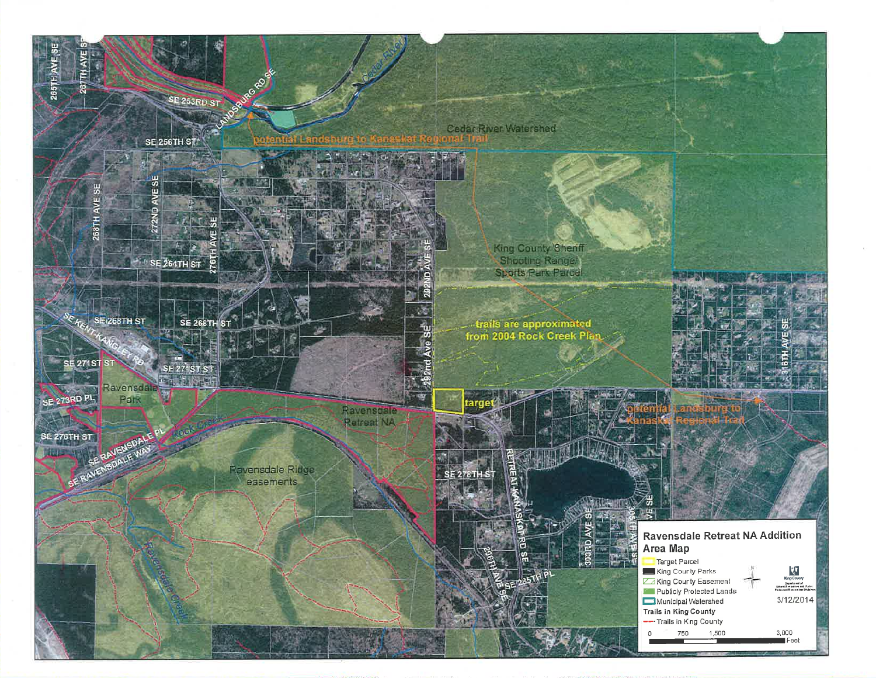